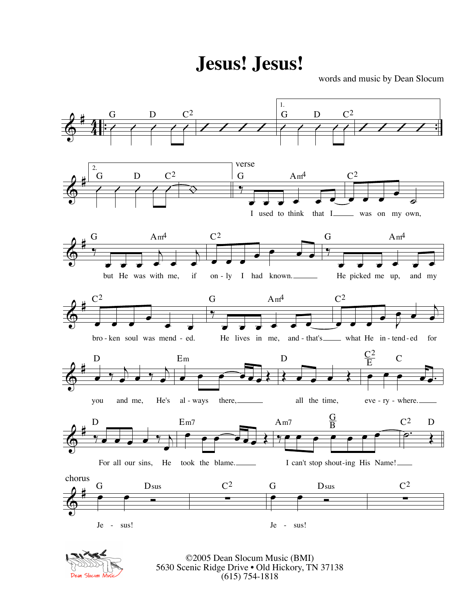**Jesus! Jesus!**

words and music by Dean Slocum





©2005 Dean Slocum Music (BMI) 5630 Scenic Ridge Drive • Old Hickory, TN 37138 (615) 754-1818